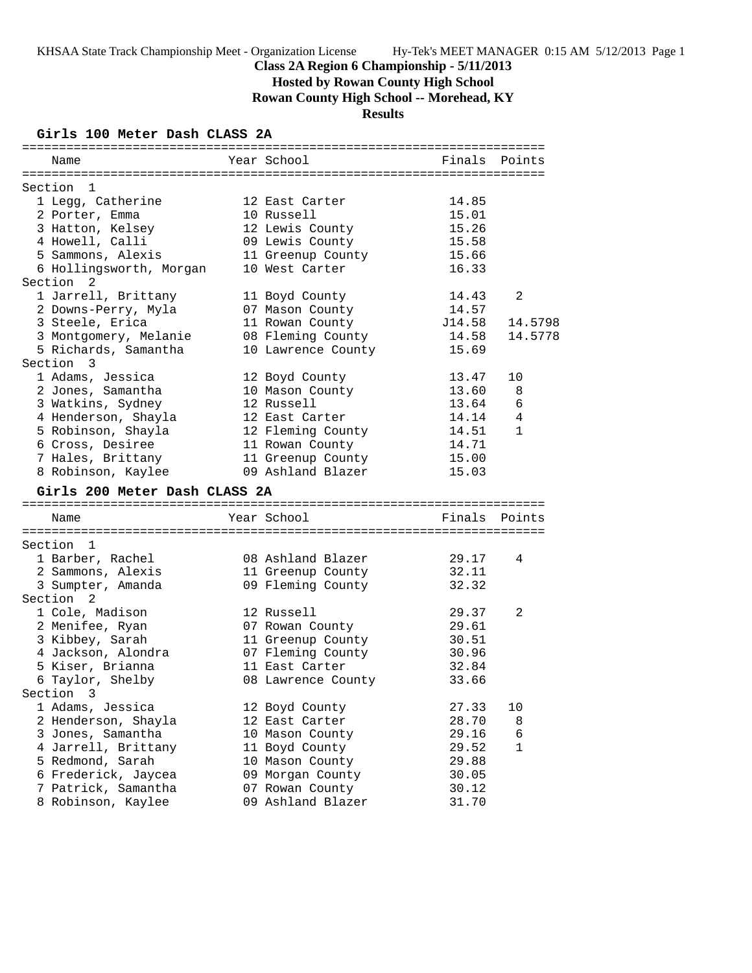# **Hosted by Rowan County High School**

**Rowan County High School -- Morehead, KY**

# **Results**

### **Girls 100 Meter Dash CLASS 2A**

| Name                          | Year School        |        | Finals Points |
|-------------------------------|--------------------|--------|---------------|
|                               |                    |        |               |
| Section 1                     |                    |        |               |
| 1 Legg, Catherine             | 12 East Carter     | 14.85  |               |
| 2 Porter, Emma                | 10 Russell         | 15.01  |               |
| 3 Hatton, Kelsey              | 12 Lewis County    | 15.26  |               |
| 4 Howell, Calli               | 09 Lewis County    | 15.58  |               |
| 5 Sammons, Alexis             | 11 Greenup County  | 15.66  |               |
| 6 Hollingsworth, Morgan       | 10 West Carter     | 16.33  |               |
| Section <sub>2</sub>          |                    |        |               |
| 1 Jarrell, Brittany           | 11 Boyd County     | 14.43  | 2             |
| 2 Downs-Perry, Myla           | 07 Mason County    | 14.57  |               |
| 3 Steele, Erica               | 11 Rowan County    | J14.58 | 14.5798       |
| 3 Montgomery, Melanie         | 08 Fleming County  | 14.58  | 14.5778       |
| 5 Richards, Samantha          | 10 Lawrence County | 15.69  |               |
| Section 3                     |                    |        |               |
| 1 Adams, Jessica              | 12 Boyd County     | 13.47  | 10            |
| 2 Jones, Samantha             | 10 Mason County    | 13.60  | 8             |
| 3 Watkins, Sydney             | 12 Russell         | 13.64  | 6             |
| 4 Henderson, Shayla           | 12 East Carter     | 14.14  | 4             |
| 5 Robinson, Shayla            | 12 Fleming County  | 14.51  | $\mathbf{1}$  |
| 6 Cross, Desiree              | 11 Rowan County    | 14.71  |               |
| 7 Hales, Brittany             | 11 Greenup County  | 15.00  |               |
| 8 Robinson, Kaylee            | 09 Ashland Blazer  | 15.03  |               |
| Girls 200 Meter Dash CLASS 2A |                    |        |               |
|                               |                    |        |               |
| Name                          | Year School        |        | Finals Points |
|                               |                    |        |               |
| Section 1                     |                    |        |               |
| 1 Barber, Rachel              | 08 Ashland Blazer  | 29.17  | 4             |
| 2 Sammons, Alexis             | 11 Greenup County  | 32.11  |               |
| 3 Sumpter, Amanda             | 09 Fleming County  | 32.32  |               |
| Section 2                     |                    |        |               |
| 1 Cole, Madison               | 12 Russell         | 29.37  | 2             |
| 2 Menifee, Ryan               | 07 Rowan County    | 29.61  |               |
| 3 Kibbey, Sarah               | 11 Greenup County  | 30.51  |               |
| 4 Jackson, Alondra            | 07 Fleming County  | 30.96  |               |
| 5 Kiser, Brianna              | 11 East Carter     | 32.84  |               |
| 6 Taylor, Shelby              | 08 Lawrence County | 33.66  |               |
| 3<br>Section                  |                    |        |               |
| 1 Adams, Jessica              | 12 Boyd County     | 27.33  | 10            |
| 2 Henderson, Shayla           | 12 East Carter     | 28.70  | 8             |
| 3 Jones, Samantha             | 10 Mason County    | 29.16  | 6             |
| 4 Jarrell, Brittany           | 11 Boyd County     | 29.52  | 1             |
| 5 Redmond, Sarah              | 10 Mason County    | 29.88  |               |
| 6 Frederick, Jaycea           | 09 Morgan County   | 30.05  |               |
| 7 Patrick, Samantha           | 07 Rowan County    | 30.12  |               |
| 8 Robinson, Kaylee            | 09 Ashland Blazer  | 31.70  |               |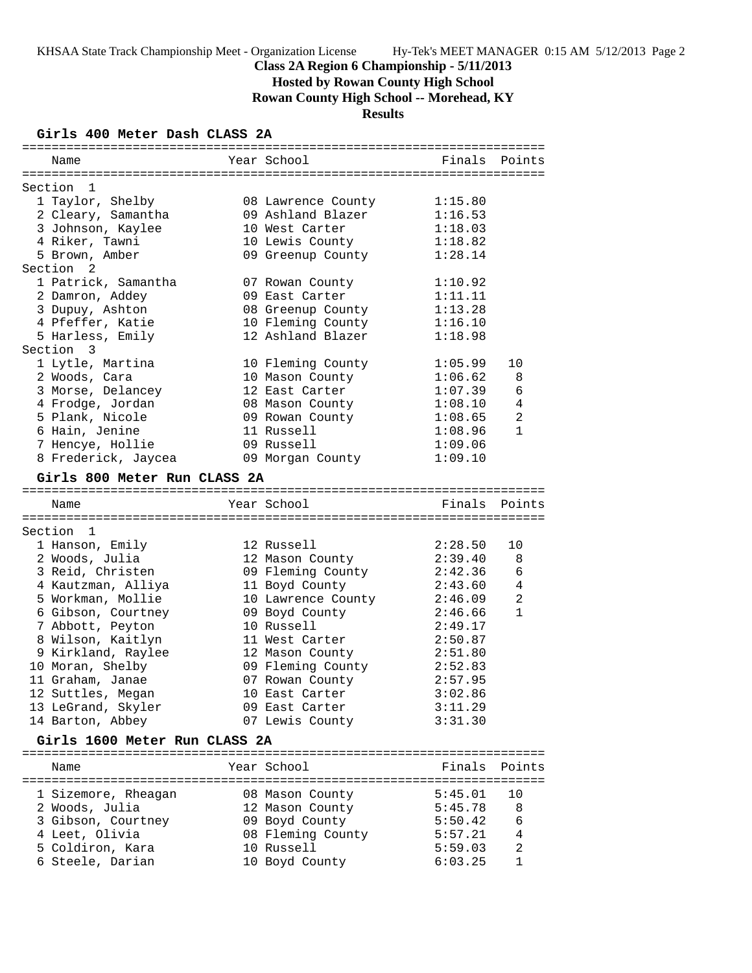**Hosted by Rowan County High School**

**Rowan County High School -- Morehead, KY**

# **Results**

### **Girls 400 Meter Dash CLASS 2A**

| Name                          | Year School        | Finals Points |              |
|-------------------------------|--------------------|---------------|--------------|
|                               |                    |               |              |
| Section<br>$\mathbf{1}$       |                    |               |              |
| 1 Taylor, Shelby              | 08 Lawrence County | 1:15.80       |              |
| 2 Cleary, Samantha            | 09 Ashland Blazer  | 1:16.53       |              |
| 3 Johnson, Kaylee             | 10 West Carter     | 1:18.03       |              |
| 4 Riker, Tawni                | 10 Lewis County    | 1:18.82       |              |
| 5 Brown, Amber                | 09 Greenup County  | 1:28.14       |              |
| Section <sub>2</sub>          |                    |               |              |
| 1 Patrick, Samantha           | 07 Rowan County    | 1:10.92       |              |
| 2 Damron, Addey               | 09 East Carter     | 1:11.11       |              |
| 3 Dupuy, Ashton               | 08 Greenup County  | 1:13.28       |              |
| 4 Pfeffer, Katie              | 10 Fleming County  | 1:16.10       |              |
| 5 Harless, Emily              | 12 Ashland Blazer  | 1:18.98       |              |
| Section 3                     |                    |               |              |
| 1 Lytle, Martina              | 10 Fleming County  | 1:05.99       | 10           |
| 2 Woods, Cara                 | 10 Mason County    | 1:06.62       | 8            |
| 3 Morse, Delancey             | 12 East Carter     | 1:07.39       | 6            |
| 4 Frodge, Jordan              | 08 Mason County    | 1:08.10       | 4            |
| 5 Plank, Nicole               | 09 Rowan County    | 1:08.65       | 2            |
| 6 Hain, Jenine                | 11 Russell         | 1:08.96       | $\mathbf{1}$ |
| 7 Hencye, Hollie              | 09 Russell         | 1:09.06       |              |
| 8 Frederick, Jaycea           | 09 Morgan County   | 1:09.10       |              |
| Girls 800 Meter Run CLASS 2A  |                    |               |              |
|                               |                    |               |              |
| Name                          | Year School        | Finals Points |              |
|                               |                    |               |              |
| Section 1                     |                    |               |              |
| 1 Hanson, Emily               | 12 Russell         | 2:28.50       | 10           |
| 2 Woods, Julia                | 12 Mason County    | 2:39.40       | 8            |
| 3 Reid, Christen              | 09 Fleming County  | 2:42.36       | 6            |
| 4 Kautzman, Alliya            | 11 Boyd County     | 2:43.60       | 4            |
| 5 Workman, Mollie             | 10 Lawrence County | 2:46.09       | 2            |
| 6 Gibson, Courtney            | 09 Boyd County     | 2:46.66       | $\mathbf{1}$ |
| 7 Abbott, Peyton              | 10 Russell         | 2:49.17       |              |
| 8 Wilson, Kaitlyn             | 11 West Carter     | 2:50.87       |              |
| 9 Kirkland, Raylee            | 12 Mason County    | 2:51.80       |              |
| 10 Moran, Shelby              | 09 Fleming County  | 2:52.83       |              |
| 11 Graham, Janae              | 07 Rowan County    | 2:57.95       |              |
| 12 Suttles, Megan             | 10 East Carter     | 3:02.86       |              |
| 13 LeGrand, Skyler            | 09 East Carter     | 3:11.29       |              |
|                               | 07 Lewis County    | 3:31.30       |              |
| 14 Barton, Abbey              |                    |               |              |
| Girls 1600 Meter Run CLASS 2A |                    |               |              |
|                               |                    |               |              |
| Name                          | Year School        | Finals        | Points       |
|                               |                    |               |              |
| 1 Sizemore, Rheagan           | 08 Mason County    | 5:45.01       | 10           |
| 2 Woods, Julia                | 12 Mason County    | 5:45.78       | 8            |
| 3 Gibson, Courtney            | 09 Boyd County     | 5:50.42       | 6            |
| 4 Leet, Olivia                | 08 Fleming County  | 5:57.21       | 4            |
| 5 Coldiron, Kara              | 10 Russell         | 5:59.03       | 2            |
| 6 Steele, Darian              | 10 Boyd County     | 6:03.25       | 1            |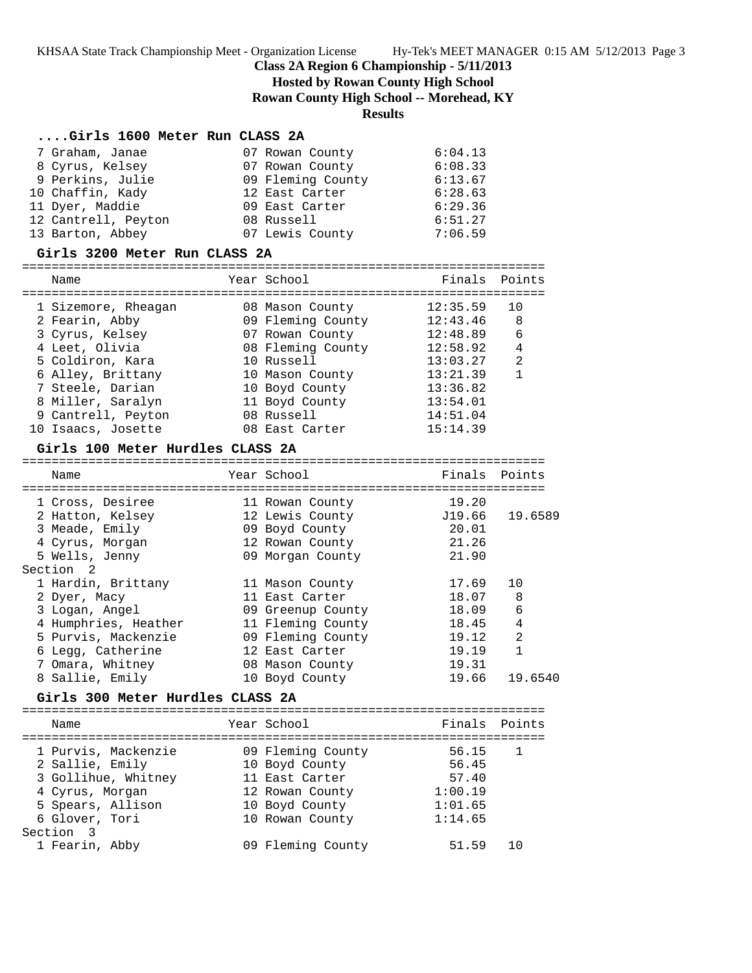**Hosted by Rowan County High School**

**Rowan County High School -- Morehead, KY**

# **Results**

## **....Girls 1600 Meter Run CLASS 2A**

| 7 Graham, Janae     | 07 Rowan County   | 6:04.13 |
|---------------------|-------------------|---------|
| 8 Cyrus, Kelsey     | 07 Rowan County   | 6:08.33 |
| 9 Perkins, Julie    | 09 Fleming County | 6:13.67 |
| 10 Chaffin, Kady    | 12 East Carter    | 6:28.63 |
| 11 Dyer, Maddie     | 09 East Carter    | 6:29.36 |
| 12 Cantrell, Peyton | 08 Russell        | 6:51.27 |
| 13 Barton, Abbey    | 07 Lewis County   | 7:06.59 |

### **Girls 3200 Meter Run CLASS 2A**

| Name |                                                                                                                                                                                                          | Finals Points                                                                                                                                                                                    |                |
|------|----------------------------------------------------------------------------------------------------------------------------------------------------------------------------------------------------------|--------------------------------------------------------------------------------------------------------------------------------------------------------------------------------------------------|----------------|
|      |                                                                                                                                                                                                          | 12:35.59                                                                                                                                                                                         | 10             |
|      |                                                                                                                                                                                                          |                                                                                                                                                                                                  | 8              |
|      |                                                                                                                                                                                                          | 12:48.89                                                                                                                                                                                         | 6              |
|      |                                                                                                                                                                                                          | 12:58.92                                                                                                                                                                                         | $\overline{4}$ |
|      |                                                                                                                                                                                                          | 13:03.27                                                                                                                                                                                         | $\overline{2}$ |
|      |                                                                                                                                                                                                          | 13:21.39                                                                                                                                                                                         |                |
|      |                                                                                                                                                                                                          | 13:36.82                                                                                                                                                                                         |                |
|      |                                                                                                                                                                                                          | 13:54.01                                                                                                                                                                                         |                |
|      |                                                                                                                                                                                                          | 14:51.04                                                                                                                                                                                         |                |
|      |                                                                                                                                                                                                          | 15:14.39                                                                                                                                                                                         |                |
|      | 1 Sizemore, Rheagan<br>2 Fearin, Abby<br>3 Cyrus, Kelsey<br>4 Leet, Olivia<br>5 Coldiron, Kara<br>6 Alley, Brittany<br>7 Steele, Darian<br>8 Miller, Saralyn<br>9 Cantrell, Peyton<br>10 Isaacs, Josette | Year School<br>08 Mason County<br>09 Fleming County<br>07 Rowan County<br>08 Fleming County<br>10 Russell<br>10 Mason County<br>10 Boyd County<br>11 Boyd County<br>08 Russell<br>08 East Carter | 12:43.46       |

### **Girls 100 Meter Hurdles CLASS 2A**

| Name                 | Year School       | Finals | Points         |
|----------------------|-------------------|--------|----------------|
|                      |                   |        |                |
| 1 Cross, Desiree     | 11 Rowan County   | 19.20  |                |
| 2 Hatton, Kelsey     | 12 Lewis County   | J19.66 | 19.6589        |
| 3 Meade, Emily       | 09 Boyd County    | 20.01  |                |
| 4 Cyrus, Morgan      | 12 Rowan County   | 21.26  |                |
| 5 Wells, Jenny       | 09 Morgan County  | 21.90  |                |
| Section <sub>2</sub> |                   |        |                |
| 1 Hardin, Brittany   | 11 Mason County   | 17.69  | 10             |
| 2 Dyer, Macy         | 11 East Carter    | 18.07  | 8              |
| 3 Logan, Angel       | 09 Greenup County | 18.09  | 6              |
| 4 Humphries, Heather | 11 Fleming County | 18.45  | 4              |
| 5 Purvis, Mackenzie  | 09 Fleming County | 19.12  | $\mathfrak{D}$ |
| 6 Legg, Catherine    | 12 East Carter    | 19.19  |                |
| 7 Omara, Whitney     | 08 Mason County   | 19.31  |                |
| 8 Sallie, Emily      | 10 Boyd County    | 19.66  | 19.6540        |

# **Girls 300 Meter Hurdles CLASS 2A**

| Name                                                                                                                    | Year School                                                                                                   | Finals Points                                            |                |
|-------------------------------------------------------------------------------------------------------------------------|---------------------------------------------------------------------------------------------------------------|----------------------------------------------------------|----------------|
| 1 Purvis, Mackenzie<br>2 Sallie, Emily<br>3 Gollihue, Whitney<br>4 Cyrus, Morgan<br>5 Spears, Allison<br>6 Glover, Tori | 09 Fleming County<br>10 Boyd County<br>11 East Carter<br>12 Rowan County<br>10 Boyd County<br>10 Rowan County | 56.15<br>56.45<br>57.40<br>1:00.19<br>1:01.65<br>1:14.65 | $\overline{1}$ |
| Section 3<br>1 Fearin, Abby                                                                                             | 09 Fleming County                                                                                             | 51 59                                                    | 1 O            |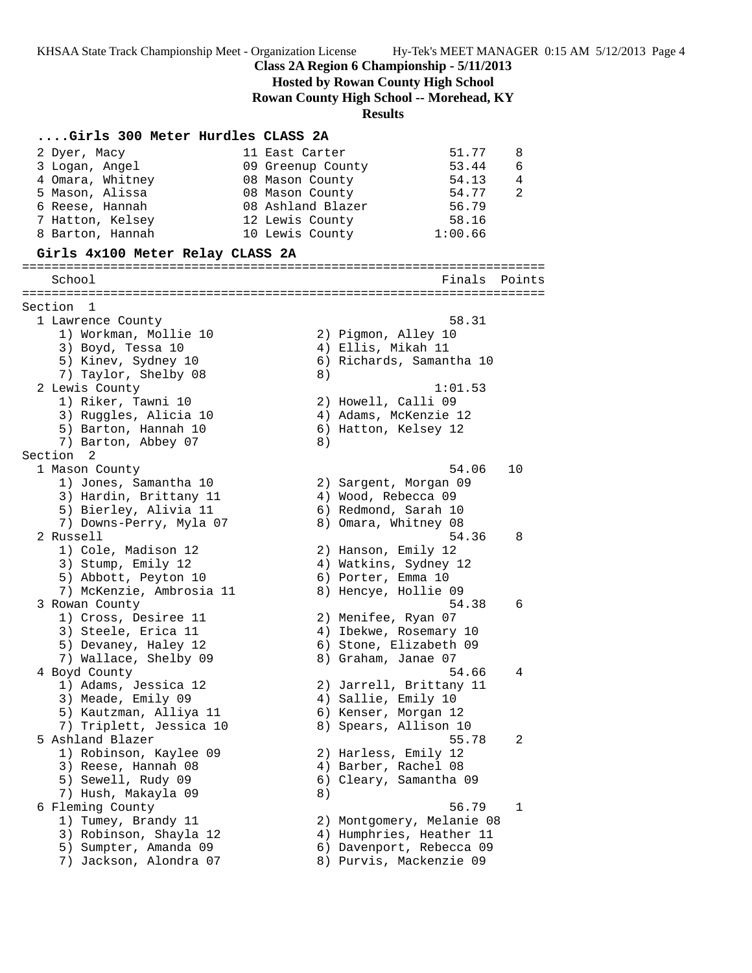KHSAA State Track Championship Meet - Organization License Hy-Tek's MEET MANAGER 0:15 AM 5/12/2013 Page 4

**Class 2A Region 6 Championship - 5/11/2013**

**Hosted by Rowan County High School**

**Rowan County High School -- Morehead, KY**

**Results**

# **....Girls 300 Meter Hurdles CLASS 2A**

| 2 Dyer, Macy                                | 51.77<br>11 East Carter                      | 8      |
|---------------------------------------------|----------------------------------------------|--------|
| 3 Logan, Angel                              | 53.44<br>09 Greenup County                   | 6      |
| 4 Omara, Whitney                            | 08 Mason County<br>54.13                     | 4      |
| 5 Mason, Alissa                             | 08 Mason County<br>54.77                     | 2      |
| 6 Reese, Hannah                             | 56.79<br>08 Ashland Blazer                   |        |
| 7 Hatton, Kelsey                            | 58.16<br>12 Lewis County                     |        |
| 8 Barton, Hannah                            | 1:00.66<br>10 Lewis County                   |        |
| Girls 4x100 Meter Relay CLASS 2A            |                                              |        |
| School                                      | Finals                                       | Points |
|                                             |                                              |        |
| Section 1                                   |                                              |        |
| 1 Lawrence County                           | 58.31                                        |        |
| 1) Workman, Mollie 10                       | 2) Pigmon, Alley 10                          |        |
| 3) Boyd, Tessa 10                           | 4) Ellis, Mikah 11                           |        |
| 5) Kinev, Sydney 10                         | 6) Richards, Samantha 10                     |        |
| 7) Taylor, Shelby 08                        | 8)<br>1:01.53                                |        |
| 2 Lewis County                              |                                              |        |
| 1) Riker, Tawni 10<br>3) Ruggles, Alicia 10 | 2) Howell, Calli 09<br>4) Adams, McKenzie 12 |        |
| 5) Barton, Hannah 10                        | 6) Hatton, Kelsey 12                         |        |
| 7) Barton, Abbey 07                         | 8)                                           |        |
| Section <sub>2</sub>                        |                                              |        |
| 1 Mason County                              | 54.06                                        | 10     |
| 1) Jones, Samantha 10                       | 2) Sargent, Morgan 09                        |        |
| 3) Hardin, Brittany 11                      | 4) Wood, Rebecca 09                          |        |
| 5) Bierley, Alivia 11                       | 6) Redmond, Sarah 10                         |        |
| 7) Downs-Perry, Myla 07                     | 8) Omara, Whitney 08                         |        |
| 2 Russell                                   | 54.36                                        | 8      |
| 1) Cole, Madison 12                         | 2) Hanson, Emily 12                          |        |
| 3) Stump, Emily 12                          | 4) Watkins, Sydney 12                        |        |
| 5) Abbott, Peyton 10                        | 6) Porter, Emma 10                           |        |
| 7) McKenzie, Ambrosia 11                    | 8) Hencye, Hollie 09                         |        |
| 3 Rowan County                              | 54.38                                        | 6      |
| 1) Cross, Desiree 11                        | 2) Menifee, Ryan 07                          |        |
| 3) Steele, Erica 11                         | 4) Ibekwe, Rosemary 10                       |        |
| 5) Devaney, Haley 12                        | 6) Stone, Elizabeth 09                       |        |
| 7) Wallace, Shelby 09                       | 8) Graham, Janae 07<br>54.66                 | 4      |
| 4 Boyd County<br>1) Adams, Jessica 12       | 2) Jarrell, Brittany 11                      |        |
| 3) Meade, Emily 09                          | 4) Sallie, Emily 10                          |        |
| 5) Kautzman, Alliya 11                      | 6) Kenser, Morgan 12                         |        |
| 7) Triplett, Jessica 10                     | 8) Spears, Allison 10                        |        |
| 5 Ashland Blazer                            | 55.78                                        | 2      |
| 1) Robinson, Kaylee 09                      | 2) Harless, Emily 12                         |        |
| 3) Reese, Hannah 08                         | 4) Barber, Rachel 08                         |        |
| 5) Sewell, Rudy 09                          | 6) Cleary, Samantha 09                       |        |
| 7) Hush, Makayla 09                         | 8)                                           |        |
| 6 Fleming County                            | 56.79                                        | 1      |
| 1) Tumey, Brandy 11                         | 2) Montgomery, Melanie 08                    |        |
| 3) Robinson, Shayla 12                      | 4) Humphries, Heather 11                     |        |
| 5) Sumpter, Amanda 09                       | 6) Davenport, Rebecca 09                     |        |
| 7) Jackson, Alondra 07                      | 8) Purvis, Mackenzie 09                      |        |
|                                             |                                              |        |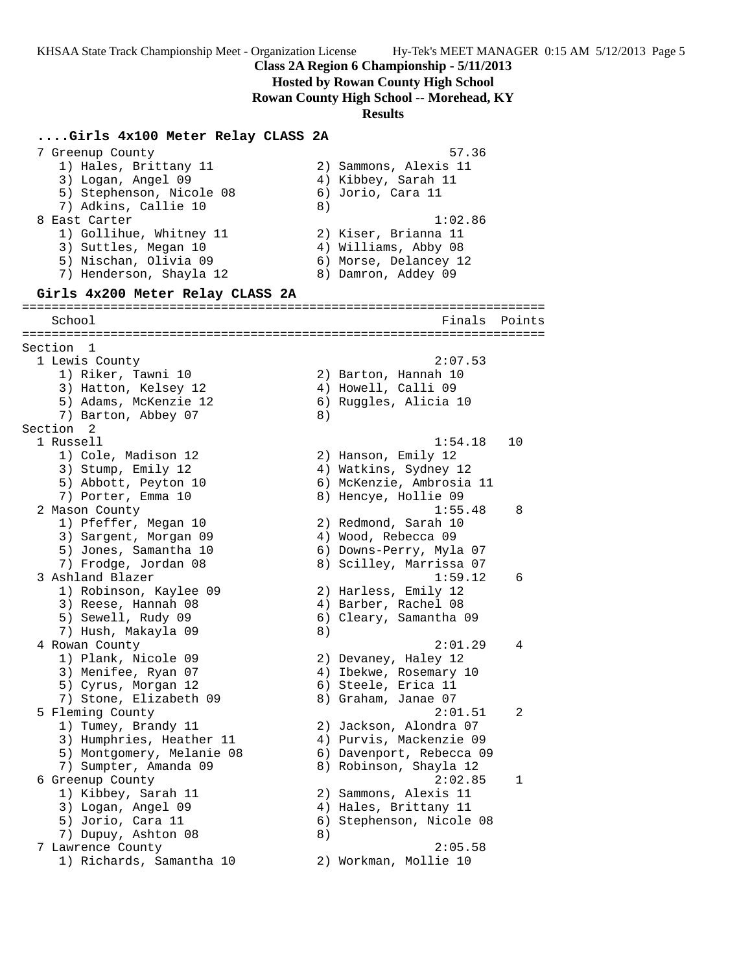**Hosted by Rowan County High School**

**Rowan County High School -- Morehead, KY**

#### **Results**

**....Girls 4x100 Meter Relay CLASS 2A** 7 Greenup County 57.36 1) Hales, Brittany 11 2) Sammons, Alexis 11 3) Logan, Angel 09 1988 (4) Kibbey, Sarah 11 5) Stephenson, Nicole 08 6) Jorio, Cara 11 7) Adkins, Callie 10 8) 8 East Carter 1:02.86 1) Gollihue, Whitney 11 2) Kiser, Brianna 11 3) Suttles, Megan 10 (4) Williams, Abby 08 5) Nischan, Olivia 09 6) Morse, Delancey 12 7) Henderson, Shayla 12 8) Damron, Addey 09 **Girls 4x200 Meter Relay CLASS 2A** ======================================================================= School Finals Points Points Points Points Points Points Points Points Points Points Points Points Points Points ======================================================================= Section 1<br>1 Lewis County 1 Lewis County 2:07.53 1) Riker, Tawni 10 2) Barton, Hannah 10 3) Hatton, Kelsey 12 4) Howell, Calli 09 5) Adams, McKenzie 12 6) Ruggles, Alicia 10 7) Barton, Abbey 07 8) Section 2<br>1 Russell 1 Russell 1:54.18 10 1) Cole, Madison 12 2) Hanson, Emily 12 3) Stump, Emily 12 4) Watkins, Sydney 12 5) Abbott, Peyton 10 6) McKenzie, Ambrosia 11 7) Porter, Emma 10 8) Hencye, Hollie 09 2 Mason County 1:55.48 8 1) Pfeffer, Megan 10 2) Redmond, Sarah 10 3) Sargent, Morgan 09 4) Wood, Rebecca 09 5) Jones, Samantha 10 6) Downs-Perry, Myla 07 7) Frodge, Jordan 08 8) Scilley, Marrissa 07 3 Ashland Blazer 1:59.12 6 1) Robinson, Kaylee 09 2) Harless, Emily 12 3) Reese, Hannah 08 (4) Barber, Rachel 08 5) Sewell, Rudy 09 6) Cleary, Samantha 09 7) Hush, Makayla 09 8) 4 Rowan County 2:01.29 4 1) Plank, Nicole 09 2) Devaney, Haley 12 3) Menifee, Ryan 07 4) Ibekwe, Rosemary 10 5) Cyrus, Morgan 12 (6) Steele, Erica 11 7) Stone, Elizabeth 09 8) Graham, Janae 07 5 Fleming County 2:01.51 2 1) Tumey, Brandy 11 2) Jackson, Alondra 07 3) Humphries, Heather 11 4) Purvis, Mackenzie 09 5) Montgomery, Melanie 08 6) Davenport, Rebecca 09 7) Sumpter, Amanda 09 8) Robinson, Shayla 12 6 Greenup County 2:02.85 1 1) Kibbey, Sarah 11 2) Sammons, Alexis 11 3) Logan, Angel 09 4) Hales, Brittany 11 5) Jorio, Cara 11 6) Stephenson, Nicole 08 7) Dupuy, Ashton 08 8) 7 Lawrence County 2:05.58 1) Richards, Samantha 10 2) Workman, Mollie 10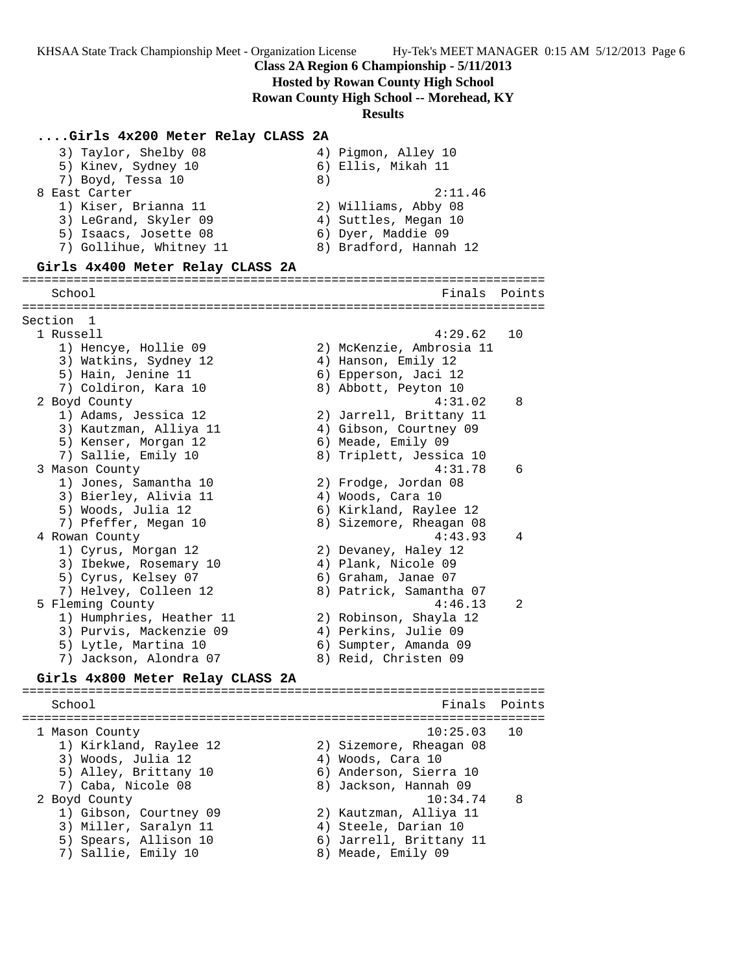KHSAA State Track Championship Meet - Organization License Hy-Tek's MEET MANAGER 0:15 AM 5/12/2013 Page 6

## **Class 2A Region 6 Championship - 5/11/2013**

### **Hosted by Rowan County High School**

**Rowan County High School -- Morehead, KY**

**Results**

### **....Girls 4x200 Meter Relay CLASS 2A**

| 3) Taylor, Shelby 08    | 4) Pigmon, Alley 10    |
|-------------------------|------------------------|
| 5) Kinev, Sydney 10     | 6) Ellis, Mikah 11     |
| 7) Boyd, Tessa 10       | 8)                     |
| 8 East Carter           | 2:11.46                |
| 1) Kiser, Brianna 11    | 2) Williams, Abby 08   |
| 3) LeGrand, Skyler 09   | 4) Suttles, Megan 10   |
| 5) Isaacs, Josette 08   | 6) Dyer, Maddie 09     |
| 7) Gollihue, Whitney 11 | 8) Bradford, Hannah 12 |
|                         |                        |

### **Girls 4x400 Meter Relay CLASS 2A**

# ======================================================================= School **Finals** Points

======================================================================= Section 1 1 Russell 4:29.62 10 1) Hencye, Hollie 09 2) McKenzie, Ambrosia 11 3) Watkins, Sydney 12  $\hskip1cm$  4) Hanson, Emily 12 5) Hain, Jenine 11 6) Epperson, Jaci 12 7) Coldiron, Kara 10 8) Abbott, Peyton 10 2 Boyd County 4:31.02 8 1) Adams, Jessica 12 2) Jarrell, Brittany 11 3) Kautzman, Alliya 11 4) Gibson, Courtney 09 5) Kenser, Morgan 12 6) Meade, Emily 09 7) Sallie, Emily 10 8) Triplett, Jessica 10 3 Mason County 4:31.78 6 1) Jones, Samantha 10 2) Frodge, Jordan 08 3) Bierley, Alivia 11  $\hskip10mm$  4) Woods, Cara 10 5) Woods, Julia 12 6) Kirkland, Raylee 12 7) Pfeffer, Megan 10 8) Sizemore, Rheagan 08 4 Rowan County 4:43.93 4 1) Cyrus, Morgan 12 2) Devaney, Haley 12 3) Ibekwe, Rosemary 10  $\hskip 1.6cm 4$  Plank, Nicole 09 5) Cyrus, Kelsey 07 6) Graham, Janae 07 7) Helvey, Colleen 12 8) Patrick, Samantha 07 5 Fleming County 4:46.13 2 1) Humphries, Heather 11 2) Robinson, Shayla 12 3) Purvis, Mackenzie 09 4) Perkins, Julie 09 5) Lytle, Martina 10 6) Sumpter, Amanda 09 7) Jackson, Alondra 07 8) Reid, Christen 09

### **Girls 4x800 Meter Relay CLASS 2A**

======================================================================= School **Finals Points** ======================================================================= 1 Mason County 10:25.03 10 1) Kirkland, Raylee 12 2) Sizemore, Rheagan 08 3) Woods, Julia 12 (4) Woods, Cara 10 5) Alley, Brittany 10 6) Anderson, Sierra 10 7) Caba, Nicole 08 8) Jackson, Hannah 09 2 Boyd County 10:34.74 8 1) Gibson, Courtney 09 2) Kautzman, Alliya 11 3) Miller, Saralyn 11 (4) Steele, Darian 10 5) Spears, Allison 10 6) Jarrell, Brittany 11 7) Sallie, Emily 10  $\hskip 1.6cm$  8) Meade, Emily 09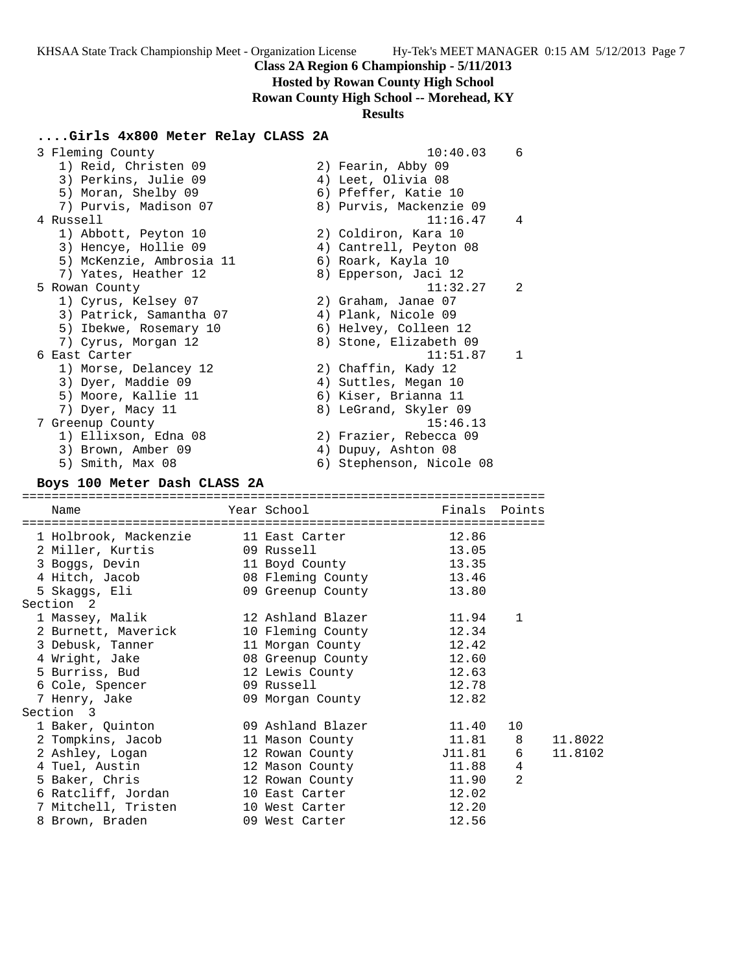**Hosted by Rowan County High School**

**Rowan County High School -- Morehead, KY**

## **Results**

# **....Girls 4x800 Meter Relay CLASS 2A**

| 3 Fleming County                          |                                  | 10:40.03                 | 6             |         |
|-------------------------------------------|----------------------------------|--------------------------|---------------|---------|
| 1) Reid, Christen 09                      |                                  | 2) Fearin, Abby 09       |               |         |
| 3) Perkins, Julie 09                      |                                  | 4) Leet, Olivia 08       |               |         |
| 5) Moran, Shelby 09                       |                                  | 6) Pfeffer, Katie 10     |               |         |
| 7) Purvis, Madison 07                     |                                  | 8) Purvis, Mackenzie 09  |               |         |
| 4 Russell                                 |                                  | 11:16.47                 | 4             |         |
| 1) Abbott, Peyton 10                      |                                  | 2) Coldiron, Kara 10     |               |         |
| 3) Hencye, Hollie 09                      |                                  | 4) Cantrell, Peyton 08   |               |         |
| 5) McKenzie, Ambrosia 11                  |                                  | 6) Roark, Kayla 10       |               |         |
| 7) Yates, Heather 12                      |                                  | 8) Epperson, Jaci 12     |               |         |
| 5 Rowan County                            |                                  | 11:32.27                 | 2             |         |
| 1) Cyrus, Kelsey 07                       |                                  | 2) Graham, Janae 07      |               |         |
| 3) Patrick, Samantha 07                   |                                  | 4) Plank, Nicole 09      |               |         |
| 5) Ibekwe, Rosemary 10                    |                                  | 6) Helvey, Colleen 12    |               |         |
| 7) Cyrus, Morgan 12                       |                                  | 8) Stone, Elizabeth 09   |               |         |
| 6 East Carter                             |                                  | 11:51.87                 | 1             |         |
| 1) Morse, Delancey 12                     |                                  | 2) Chaffin, Kady 12      |               |         |
| 3) Dyer, Maddie 09                        |                                  | 4) Suttles, Megan 10     |               |         |
| 5) Moore, Kallie 11                       |                                  | 6) Kiser, Brianna 11     |               |         |
| 7) Dyer, Macy 11                          |                                  | 8) LeGrand, Skyler 09    |               |         |
|                                           |                                  | 15:46.13                 |               |         |
| 7 Greenup County<br>1) Ellixson, Edna 08  |                                  |                          |               |         |
|                                           |                                  | 2) Frazier, Rebecca 09   |               |         |
| 3) Brown, Amber 09                        |                                  | 4) Dupuy, Ashton 08      |               |         |
| 5) Smith, Max 08                          |                                  | 6) Stephenson, Nicole 08 |               |         |
|                                           |                                  |                          |               |         |
| Boys 100 Meter Dash CLASS 2A              |                                  |                          |               |         |
|                                           |                                  |                          |               |         |
| Name                                      | Year School                      |                          | Finals Points |         |
| 1 Holbrook, Mackenzie                     | 11 East Carter                   | 12.86                    |               |         |
| 2 Miller, Kurtis                          | 09 Russell                       | 13.05                    |               |         |
| 3 Boggs, Devin                            | 11 Boyd County                   | 13.35                    |               |         |
|                                           | 08 Fleming County                | 13.46                    |               |         |
| 4 Hitch, Jacob                            |                                  | 13.80                    |               |         |
| 5 Skaggs, Eli<br>Section 2                | 09 Greenup County                |                          |               |         |
|                                           | 12 Ashland Blazer                | 11.94                    | 1             |         |
| 1 Massey, Malik                           |                                  | 12.34                    |               |         |
| 2 Burnett, Maverick                       | 10 Fleming County                |                          |               |         |
| 3 Debusk, Tanner                          | 11 Morgan County                 | 12.42                    |               |         |
| 4 Wright, Jake                            | 08 Greenup County                | 12.60                    |               |         |
| 5 Burriss, Bud                            | 12 Lewis County                  | 12.63                    |               |         |
| 6 Cole, Spencer                           | 09 Russell                       | 12.78                    |               |         |
| 7 Henry, Jake                             | 09 Morgan County                 | 12.82                    |               |         |
| Section 3                                 |                                  |                          |               |         |
| 1 Baker, Quinton                          | 09 Ashland Blazer                | 11.40                    | 10            |         |
| 2 Tompkins, Jacob                         | 11 Mason County                  | 11.81                    | 8             | 11.8022 |
| 2 Ashley, Logan                           | 12 Rowan County                  | J11.81                   | 6             | 11.8102 |
| 4 Tuel, Austin                            | 12 Mason County                  | 11.88                    | 4             |         |
| 5 Baker, Chris                            | 12 Rowan County                  | 11.90                    | 2             |         |
| 6 Ratcliff, Jordan<br>7 Mitchell, Tristen | 10 East Carter<br>10 West Carter | 12.02<br>12.20           |               |         |

8 Brown, Braden 12.56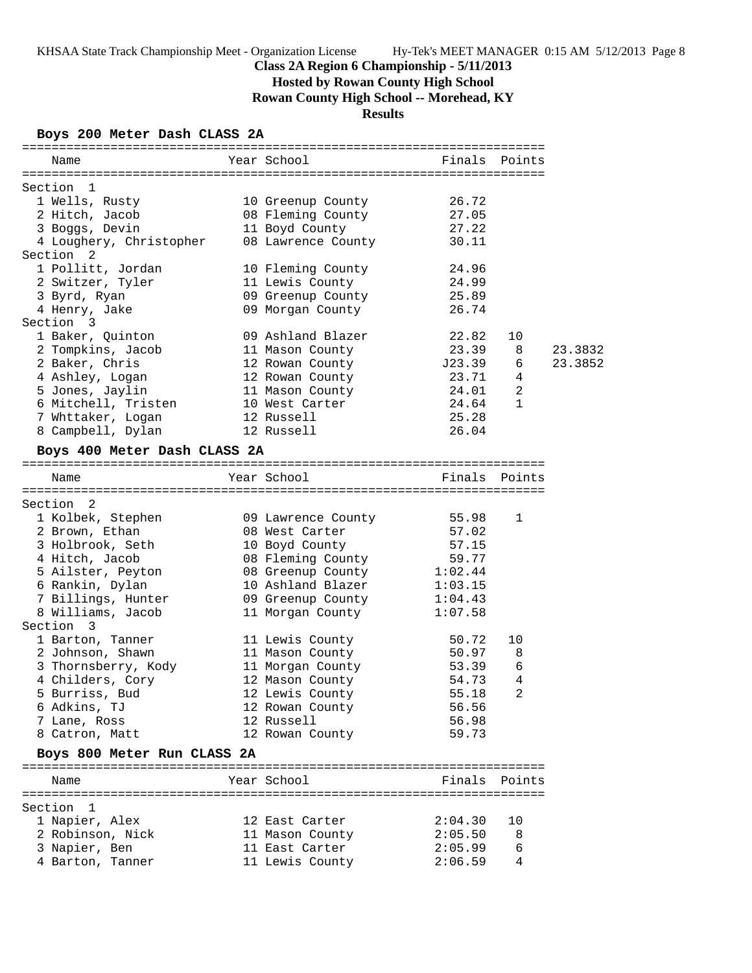# **Hosted by Rowan County High School**

**Rowan County High School -- Morehead, KY**

# **Results**

#### **Boys 200 Meter Dash CLASS 2A**

| Name                                                                                                      | Year School and the School                                                        | Finals Points |                |         |
|-----------------------------------------------------------------------------------------------------------|-----------------------------------------------------------------------------------|---------------|----------------|---------|
|                                                                                                           |                                                                                   |               |                |         |
| Section 1<br>1 Wells, Rusty 10 Greenup County 26.72                                                       |                                                                                   |               |                |         |
|                                                                                                           |                                                                                   |               |                |         |
| 2 Hitch, Jacob 68 Fleming County 27.05                                                                    |                                                                                   |               |                |         |
| 3 Boggs, Devin 11 Boyd County<br>4 Loughery, Christopher 08 Lawrence County                               |                                                                                   | 27.22         |                |         |
|                                                                                                           |                                                                                   | 30.11         |                |         |
| Section <sub>2</sub>                                                                                      |                                                                                   |               |                |         |
| 1 Pollitt, Jordan                                                                                         | 10 Fleming County                                                                 | 24.96         |                |         |
| 2 Switzer, Tyler 11 Lewis County 24.99<br>3 Byrd, Ryan 25.89                                              |                                                                                   |               |                |         |
|                                                                                                           |                                                                                   |               |                |         |
| 4 Henry, Jake                                                                                             | 09 Morgan County 26.74                                                            |               |                |         |
| Section 3                                                                                                 |                                                                                   |               |                |         |
| 1 Baker, Quinton 19 Ashland Blazer<br>2 Tompkins, Jacob 11 Mason County<br>2 Baker, Chris 12 Rowan County | 09 Ashland Blazer                                                                 | 22.82         | 10             |         |
|                                                                                                           | 11 Mason County                                                                   | 23.39 8       |                | 23.3832 |
|                                                                                                           |                                                                                   | $J23.39$ 6    |                | 23.3852 |
| 4 Ashley, Logan 12 Rowan County 23.71                                                                     |                                                                                   |               | 4              |         |
| 5 Jones, Jaylin 11 Mason County                                                                           |                                                                                   | 24.01         | $\overline{a}$ |         |
| 6 Mitchell, Tristen                                                                                       | 10 West Carter                                                                    | 24.64         | $\mathbf 1$    |         |
| 7 Whttaker, Logan 12 Russell<br>8 Campbell, Dylan 12 Russell                                              |                                                                                   | 25.28         |                |         |
|                                                                                                           |                                                                                   | 26.04         |                |         |
| Boys 400 Meter Dash CLASS 2A                                                                              |                                                                                   |               |                |         |
|                                                                                                           |                                                                                   |               |                |         |
| Name                                                                                                      | Year School <b>Finals</b> Points                                                  |               |                |         |
|                                                                                                           |                                                                                   |               |                |         |
| Section 2                                                                                                 |                                                                                   |               |                |         |
| 1 Kolbek, Stephen 09 Lawrence County 55.98                                                                |                                                                                   |               | 1              |         |
| 2 Brown, Ethan                                                                                            | 08 West Carter                                                                    | 57.02         |                |         |
| 3 Holbrook, Seth 10 Boyd County                                                                           |                                                                                   | 57.15         |                |         |
| 4 Hitch, Jacob                                                                                            | 08 Fleming County 59.77<br>08 Greenup County 1:02.44<br>10 Ashland Blazer 1:03.15 | 59.77         |                |         |
| 5 Ailster, Peyton<br>6 Rankin, Dylan                                                                      |                                                                                   |               |                |         |
| 6 Rankin, Dylan                                                                                           |                                                                                   |               |                |         |
| 7 Billings, Hunter (1998) (99 Greenup County 1:04.43                                                      |                                                                                   |               |                |         |
| 8 Williams, Jacob                                                                                         | 11 Morgan County                                                                  | 1:07.58       |                |         |
| Section 3                                                                                                 |                                                                                   |               |                |         |
| 1 Barton, Tanner                                                                                          | 11 Lewis County<br>11 Magar County                                                | 50.72         | 10             |         |
| 2 Johnson, Shawn                                                                                          | 11 Mason County                                                                   | 50.97         | 8              |         |
| 3 Thornsberry, Kody                                                                                       | 11 Morgan County<br>11 Morgan County 53.39<br>12 Mason County 54.73               |               | 6              |         |
| 4 Childers, Cory                                                                                          |                                                                                   |               | 4              |         |
| 5 Burriss, Bud                                                                                            | 12 Lewis County                                                                   | 55.18         | 2              |         |
| 6 Adkins, TJ                                                                                              | 12 Rowan County                                                                   | 56.56         |                |         |
| 7 Lane, Ross                                                                                              | 12 Russell                                                                        | 56.98         |                |         |
| 8 Catron, Matt                                                                                            | 12 Rowan County                                                                   | 59.73         |                |         |
| Boys 800 Meter Run CLASS 2A                                                                               |                                                                                   |               |                |         |
|                                                                                                           |                                                                                   |               |                |         |
| Name                                                                                                      | Year School                                                                       |               | Finals Points  |         |
| Section 1                                                                                                 |                                                                                   |               |                |         |
| 1 Napier, Alex                                                                                            | 12 East Carter                                                                    | 2:04.30       | 10             |         |
| 2 Robinson, Nick                                                                                          | 11 Mason County                                                                   | 2:05.50       | 8              |         |
| 3 Napier, Ben                                                                                             | 11 East Carter                                                                    | 2:05.99       | 6              |         |
| 4 Barton, Tanner                                                                                          | 11 Lewis County                                                                   | 2:06.59       | 4              |         |
|                                                                                                           |                                                                                   |               |                |         |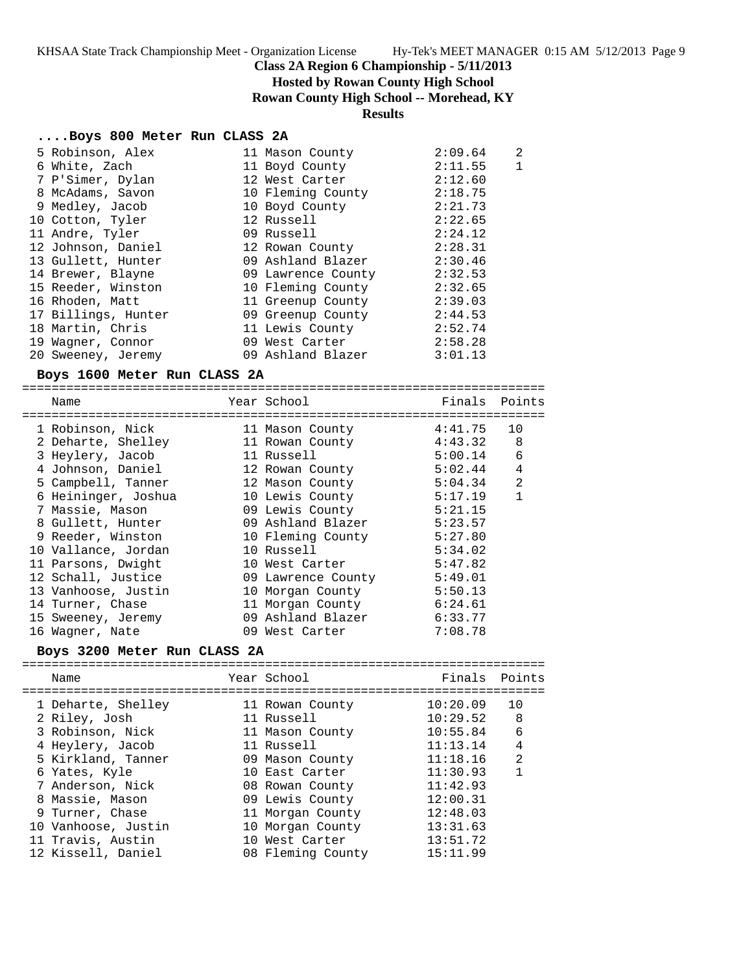**Hosted by Rowan County High School**

**Rowan County High School -- Morehead, KY**

# **Results**

## **....Boys 800 Meter Run CLASS 2A**

| 5 Robinson, Alex    | 11 Mason County    | 2:09.64 | 2 |
|---------------------|--------------------|---------|---|
| 6 White, Zach       | 11 Boyd County     | 2:11.55 | 1 |
| 7 P'Simer, Dylan    | 12 West Carter     | 2:12.60 |   |
| 8 McAdams, Savon    | 10 Fleming County  | 2:18.75 |   |
| 9 Medley, Jacob     | 10 Boyd County     | 2:21.73 |   |
| 10 Cotton, Tyler    | 12 Russell         | 2:22.65 |   |
| 11 Andre, Tyler     | 09 Russell         | 2:24.12 |   |
| 12 Johnson, Daniel  | 12 Rowan County    | 2:28.31 |   |
| 13 Gullett, Hunter  | 09 Ashland Blazer  | 2:30.46 |   |
| 14 Brewer, Blayne   | 09 Lawrence County | 2:32.53 |   |
| 15 Reeder, Winston  | 10 Fleming County  | 2:32.65 |   |
| 16 Rhoden, Matt     | 11 Greenup County  | 2:39.03 |   |
| 17 Billings, Hunter | 09 Greenup County  | 2:44.53 |   |
| 18 Martin, Chris    | 11 Lewis County    | 2:52.74 |   |
| 19 Wagner, Connor   | 09 West Carter     | 2:58.28 |   |
| 20 Sweeney, Jeremy  | 09 Ashland Blazer  | 3:01.13 |   |
|                     |                    |         |   |

## **Boys 1600 Meter Run CLASS 2A**

| Name                |    | Year School        | Finals  | Points         |
|---------------------|----|--------------------|---------|----------------|
| 1 Robinson, Nick    |    | 11 Mason County    | 4:41.75 | 10             |
| 2 Deharte, Shelley  |    | 11 Rowan County    | 4:43.32 | 8              |
| 3 Heylery, Jacob    |    | 11 Russell         | 5:00.14 | 6              |
| 4 Johnson, Daniel   |    | 12 Rowan County    | 5:02.44 | 4              |
| 5 Campbell, Tanner  |    | 12 Mason County    | 5:04.34 | $\mathfrak{D}$ |
| 6 Heininger, Joshua |    | 10 Lewis County    | 5:17.19 |                |
| 7 Massie, Mason     |    | 09 Lewis County    | 5:21.15 |                |
| 8 Gullett, Hunter   |    | 09 Ashland Blazer  | 5:23.57 |                |
| 9 Reeder, Winston   |    | 10 Fleming County  | 5:27.80 |                |
| 10 Vallance, Jordan |    | 10 Russell         | 5:34.02 |                |
| 11 Parsons, Dwight  | 10 | West Carter        | 5:47.82 |                |
| 12 Schall, Justice  |    | 09 Lawrence County | 5:49.01 |                |
| 13 Vanhoose, Justin | 10 | Morgan County      | 5:50.13 |                |
| 14 Turner, Chase    | 11 | Morgan County      | 6:24.61 |                |
| 15 Sweeney, Jeremy  | 09 | Ashland Blazer     | 6:33.77 |                |
| 16 Waqner, Nate     |    | 09 West Carter     | 7:08.78 |                |
|                     |    |                    |         |                |

## **Boys 3200 Meter Run CLASS 2A**

|  | Name                | Year School       | Finals Points |                |
|--|---------------------|-------------------|---------------|----------------|
|  | 1 Deharte, Shelley  | 11 Rowan County   | 10:20.09      | 10             |
|  | 2 Riley, Josh       | 11 Russell        | 10:29.52      | 8              |
|  | 3 Robinson, Nick    | 11 Mason County   | 10:55.84      | 6              |
|  | 4 Heylery, Jacob    | 11 Russell        | 11:13.14      | 4              |
|  | 5 Kirkland, Tanner  | 09 Mason County   | 11:18.16      | $\mathfrak{D}$ |
|  | 6 Yates, Kyle       | 10 East Carter    | 11:30.93      |                |
|  | 7 Anderson, Nick    | 08 Rowan County   | 11:42.93      |                |
|  | 8 Massie, Mason     | 09 Lewis County   | 12:00.31      |                |
|  | 9 Turner, Chase     | 11 Morgan County  | 12:48.03      |                |
|  | 10 Vanhoose, Justin | 10 Morgan County  | 13:31.63      |                |
|  | 11 Travis, Austin   | 10 West Carter    | 13:51.72      |                |
|  | 12 Kissell, Daniel  | 08 Fleming County | 15:11.99      |                |
|  |                     |                   |               |                |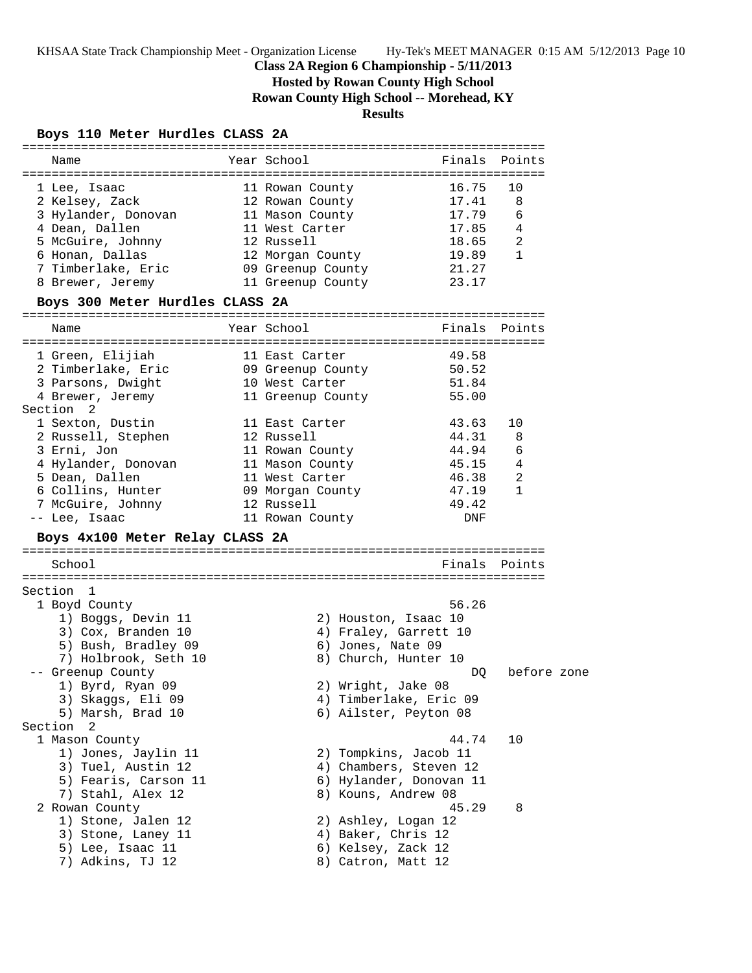KHSAA State Track Championship Meet - Organization License Hy-Tek's MEET MANAGER 0:15 AM 5/12/2013 Page 10

# **Class 2A Region 6 Championship - 5/11/2013**

**Hosted by Rowan County High School**

**Rowan County High School -- Morehead, KY**

# **Results**

# **Boys 110 Meter Hurdles CLASS 2A**

| Name                                                          | Year School                         |                         | Finals Points |
|---------------------------------------------------------------|-------------------------------------|-------------------------|---------------|
| 1 Lee, Isaac                                                  | 11 Rowan County                     | 16.75                   | 10            |
| 2 Kelsey, Zack 12 Rowan County                                |                                     | 17.41                   | 8             |
|                                                               |                                     |                         | 6             |
| 3 Hylander, Donovan 11 Mason County                           |                                     | 17.79                   |               |
| 4 Dean, Dallen<br>5 McGuire, Johnny                           | 11 West Carter                      | $17.85$ 4               | 2             |
|                                                               | 12 Russell                          | 18.65<br>19.89          |               |
| 6 Honan, Dallas<br>7 Timberlake, Eric 69 Greenup County 21.27 | 12 Morgan County                    |                         | 1             |
|                                                               |                                     |                         |               |
| 8 Brewer, Jeremy                                              | 11 Greenup County                   | 23.17                   |               |
| Boys 300 Meter Hurdles CLASS 2A                               |                                     |                         |               |
| Name                                                          | Year School                         |                         | Finals Points |
|                                                               |                                     |                         |               |
| 1 Green, Elijiah                                              | 11 East Carter                      | 49.58                   |               |
| 2 Timberlake, Eric 69 Greenup County 50.52                    |                                     |                         |               |
| 3 Parsons, Dwight                                             |                                     | 51.84                   |               |
| 4 Brewer, Jeremy                                              | 10 West Carter<br>11 Greenup County | 55.00                   |               |
| Section <sub>2</sub>                                          |                                     |                         |               |
| 1 Sexton, Dustin                                              | 11 East Carter                      | 43.63                   | 10            |
| 2 Russell, Stephen 12 Russell                                 |                                     | 44.31                   | 8             |
| 3 Erni, Jon                                                   | 11 Rowan County                     | 44.94                   | 6             |
| 4 Hylander, Donovan 11 Mason County                           |                                     | 45.15 4                 |               |
| 5 Dean, Dallen                                                | 11 West Carter                      | 46.38                   | 2             |
| b Dean, Dailen<br>6 Collins, Hunter (1988) Morgan County      |                                     | 47.19                   | 1             |
| 7 McGuire, Johnny 12 Russell                                  |                                     | 49.42                   |               |
|                                                               |                                     |                         |               |
| -- Lee, Isaac                                                 | 11 Rowan County                     | DNF                     |               |
| Boys 4x100 Meter Relay CLASS 2A                               |                                     |                         |               |
| School                                                        |                                     |                         | Finals Points |
| Section 1                                                     |                                     |                         |               |
| 1 Boyd County                                                 |                                     | 56.26                   |               |
|                                                               |                                     |                         |               |
| 1) Boggs, Devin 11                                            | 2) Houston, Isaac 10                |                         |               |
| 3) Cox, Branden 10                                            | 4) Fraley, Garrett 10               |                         |               |
| 5) Bush, Bradley 09                                           | 6) Jones, Nate 09                   |                         |               |
| 7) Holbrook, Seth 10                                          | 8) Church, Hunter 10                |                         |               |
| -- Greenup County                                             |                                     | DQ                      | before zone   |
| 1) Byrd, Ryan 09                                              | 2) Wright, Jake 08                  |                         |               |
| 3) Skaggs, Eli 09                                             |                                     | 4) Timberlake, Eric 09  |               |
| 5) Marsh, Brad 10                                             | 6) Ailster, Peyton 08               |                         |               |
| Section<br>2                                                  |                                     |                         |               |
| 1 Mason County                                                |                                     | 44.74                   | 10            |
| 1) Jones, Jaylin 11                                           | 2) Tompkins, Jacob 11               |                         |               |
| 3) Tuel, Austin 12                                            |                                     | 4) Chambers, Steven 12  |               |
| 5) Fearis, Carson 11                                          |                                     | 6) Hylander, Donovan 11 |               |
| 7) Stahl, Alex 12                                             | 8) Kouns, Andrew 08                 |                         |               |
| 2 Rowan County                                                |                                     | 45.29                   | 8             |
| 1) Stone, Jalen 12                                            | 2) Ashley, Logan 12                 |                         |               |
| 3) Stone, Laney 11                                            | 4) Baker, Chris 12                  |                         |               |
| 5) Lee, Isaac 11                                              | 6) Kelsey, Zack 12                  |                         |               |
| 7) Adkins, TJ 12                                              | 8) Catron, Matt 12                  |                         |               |
|                                                               |                                     |                         |               |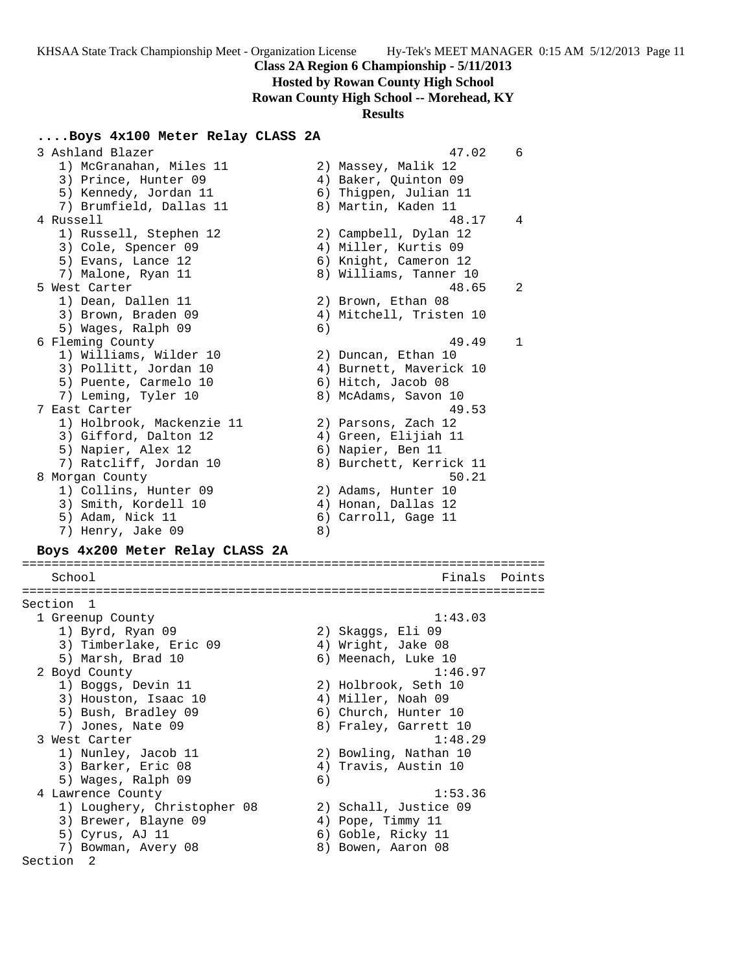### **Hosted by Rowan County High School**

**Rowan County High School -- Morehead, KY**

#### **Results**

### **....Boys 4x100 Meter Relay CLASS 2A**

 3 Ashland Blazer 47.02 6 1) McGranahan, Miles 11 2) Massey, Malik 12 3) Prince, Hunter 09 (4) Baker, Quinton 09 5) Kennedy, Jordan 11 6) Thigpen, Julian 11 7) Brumfield, Dallas 11 and 8) Martin, Kaden 11 4 Russell 48.17 4 1) Russell, Stephen 12 2) Campbell, Dylan 12 3) Cole, Spencer 09 (4) Miller, Kurtis 09 5) Evans, Lance 12 6) Knight, Cameron 12 7) Malone, Ryan 11 8) Williams, Tanner 10 5 West Carter 48.65 2 1) Dean, Dallen 11 2) Brown, Ethan 08 3) Brown, Braden 09 4) Mitchell, Tristen 10 5) Wages, Ralph 09 6) 6 Fleming County 49.49 1 1) Williams, Wilder 10 2) Duncan, Ethan 10 3) Pollitt, Jordan 10 4) Burnett, Maverick 10 5) Puente, Carmelo 10 (6) Hitch, Jacob 08 7) Leming, Tyler 10 8) McAdams, Savon 10 7 East Carter 49.53 1) Holbrook, Mackenzie 11 2) Parsons, Zach 12 3) Gifford, Dalton 12 (4) Green, Elijiah 11 5) Napier, Alex 12 (6) Napier, Ben 11 7) Ratcliff, Jordan 10 8) Burchett, Kerrick 11 8 Morgan County 60.21 September 2012 12:38:39 September 2013 12:38:39 September 2013 1) Collins, Hunter 09 2) Adams, Hunter 10 3) Smith, Kordell 10 (4) Honan, Dallas 12 5) Adam, Nick 11 6) Carroll, Gage 11 7) Henry, Jake 09 8) **Boys 4x200 Meter Relay CLASS 2A** ======================================================================= School **Finals** Points ======================================================================= Section 1 1 Greenup County 1:43.03 1) Byrd, Ryan 09 2) Skaggs, Eli 09 3) Timberlake, Eric 09  $\hskip1cm$  4) Wright, Jake 08 5) Marsh, Brad 10 6) Meenach, Luke 10 2 Boyd County 1:46.97 1) Boggs, Devin 11 2) Holbrook, Seth 10 3) Houston, Isaac 10  $\hskip1cm$  4) Miller, Noah 09 5) Bush, Bradley 09 6) Church, Hunter 10 7) Jones, Nate 09 8) Fraley, Garrett 10 3 West Carter 1:48.29 1) Nunley, Jacob 11 2) Bowling, Nathan 10 3) Barker, Eric 08 (4) Travis, Austin 10 5) Wages, Ralph 09 (6) 4 Lawrence County 1:53.36 1) Loughery, Christopher 08 2) Schall, Justice 09 3) Brewer, Blayne 09 (4) Pope, Timmy 11 5) Cyrus, AJ 11 6) Goble, Ricky 11 7) Bowman, Avery 08 8 8) Bowen, Aaron 08 Section 2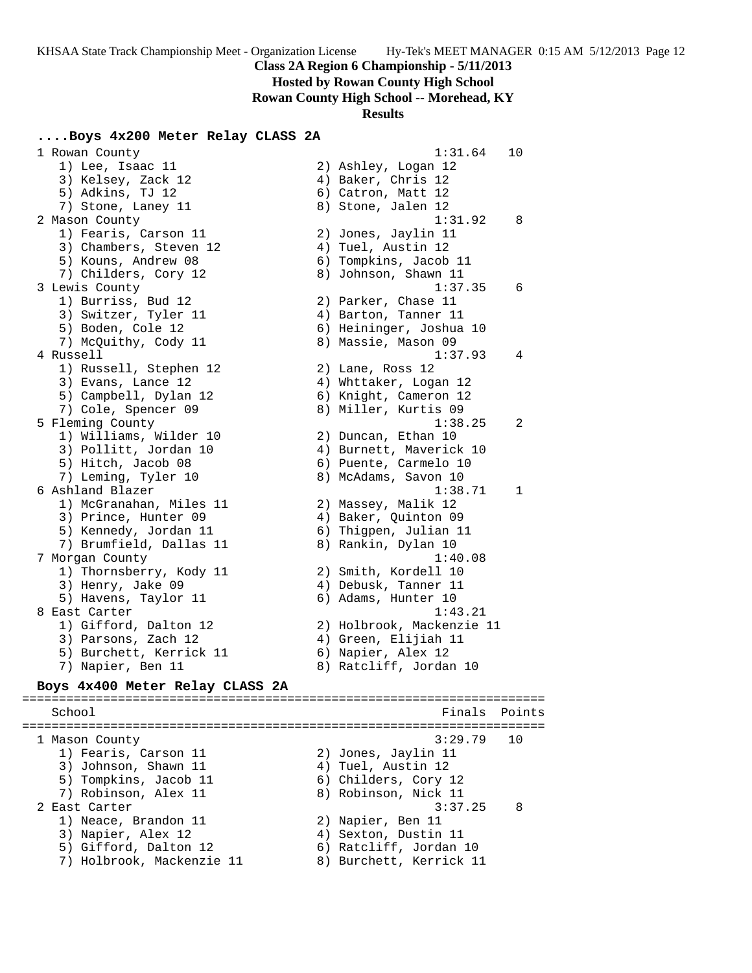**Hosted by Rowan County High School**

**Rowan County High School -- Morehead, KY**

#### **Results**

### **....Boys 4x200 Meter Relay CLASS 2A**

 1 Rowan County 1:31.64 10 1) Lee, Isaac 11 2) Ashley, Logan 12 3) Kelsey, Zack 12 (4) Baker, Chris 12 5) Adkins, TJ 12 6) Catron, Matt 12 7) Stone, Laney 11 8) Stone, Jalen 12 2 Mason County 1:31.92 8 1) Fearis, Carson 11 2) Jones, Jaylin 11 3) Chambers, Steven 12 (4) Tuel, Austin 12 5) Kouns, Andrew 08 6) Tompkins, Jacob 11 7) Childers, Cory 12  $\hskip1cm$  8) Johnson, Shawn 11 3 Lewis County 1:37.35 6 1) Burriss, Bud 12 2) Parker, Chase 11 3) Switzer, Tyler 11  $\qquad \qquad$  4) Barton, Tanner 11 5) Boden, Cole 12 6) Heininger, Joshua 10 7) McQuithy, Cody 11 8) Massie, Mason 09 4 Russell 1:37.93 4 1) Russell, Stephen 12 2) Lane, Ross 12 3) Evans, Lance 12 4) Whttaker, Logan 12 5) Campbell, Dylan 12 6) Knight, Cameron 12 7) Cole, Spencer 09 8) Miller, Kurtis 09 5 Fleming County 1:38.25 2 1) Williams, Wilder 10 2) Duncan, Ethan 10 3) Pollitt, Jordan 10 4) Burnett, Maverick 10 5) Hitch, Jacob 08 6) Puente, Carmelo 10 7) Leming, Tyler 10 8) McAdams, Savon 10 6 Ashland Blazer 1:38.71 1 1) McGranahan, Miles 11 2) Massey, Malik 12 3) Prince, Hunter 09 4) Baker, Quinton 09 5) Kennedy, Jordan 11 6) Thigpen, Julian 11 7) Brumfield, Dallas 11 (8) 8) Rankin, Dylan 10 7 Morgan County 1:40.08 1) Thornsberry, Kody 11  $\hskip10mm 2)$  Smith, Kordell 10 3) Henry, Jake 09 (4) Debusk, Tanner 11 5) Havens, Taylor 11 6) Adams, Hunter 10 8 East Carter 1:43.21 1) Gifford, Dalton 12 2) Holbrook, Mackenzie 11 3) Parsons, Zach 12 4) Green, Elijiah 11 5) Burchett, Kerrick 11 (6) Napier, Alex 12 7) Napier, Ben 11 8) Ratcliff, Jordan 10 **Boys 4x400 Meter Relay CLASS 2A** ======================================================================= School **Finals Points** ======================================================================= 1 Mason County 3:29.79 10 1) Fearis, Carson 11 2) Jones, Jaylin 11 3) Johnson, Shawn 11 4) Tuel, Austin 12 5) Tompkins, Jacob 11 6) Childers, Cory 12 7) Robinson, Alex 11 (8) Robinson, Nick 11

 2 East Carter 3:37.25 8 1) Neace, Brandon 11 and 2) Napier, Ben 11 3) Napier, Alex 12 (4) Sexton, Dustin 11 5) Gifford, Dalton 12 6) Ratcliff, Jordan 10

7) Holbrook, Mackenzie 11 8) Burchett, Kerrick 11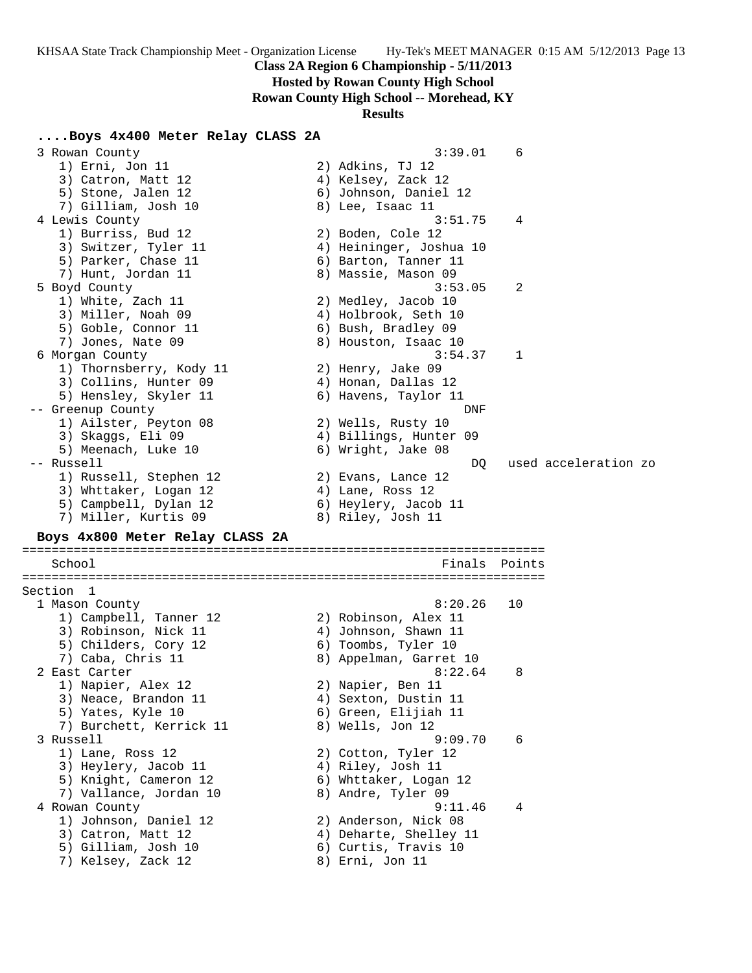**Hosted by Rowan County High School**

**Rowan County High School -- Morehead, KY**

#### **Results**

### **....Boys 4x400 Meter Relay CLASS 2A**

 3 Rowan County 3:39.01 6 1) Erni, Jon 11 2) Adkins, TJ 12 3) Catron, Matt 12 (4) Kelsey, Zack 12 5) Stone, Jalen 12 6) Johnson, Daniel 12 7) Gilliam, Josh 10 8) Lee, Isaac 11 4 Lewis County 3:51.75 4 1) Burriss, Bud 12 2) Boden, Cole 12 3) Switzer, Tyler 11 4) Heininger, Joshua 10 5) Parker, Chase 11 (6) Barton, Tanner 11 7) Hunt, Jordan 11 8) Massie, Mason 09 5 Boyd County 3:53.05 2 1) White, Zach 11 2) Medley, Jacob 10 3) Miller, Noah 09 4) Holbrook, Seth 10 5) Goble, Connor 11 6) Bush, Bradley 09 7) Jones, Nate 09 8) Houston, Isaac 10 6 Morgan County 3:54.37 1 1) Thornsberry, Kody 11 2) Henry, Jake 09 3) Collins, Hunter 09 (4) Honan, Dallas 12 5) Hensley, Skyler 11  $\qquad \qquad$  6) Havens, Taylor 11 -- Greenup County DNF 1) Ailster, Peyton 08 2) Wells, Rusty 10 3) Skaggs, Eli 09 4) Billings, Hunter 09 5) Meenach, Luke 10 6) Wright, Jake 08 -- Russell DQ used acceleration zo 1) Russell, Stephen 12 2) Evans, Lance 12 3) Whttaker, Logan 12 (4) Lane, Ross 12 5) Campbell, Dylan 12 (6) Heylery, Jacob 11 7) Miller, Kurtis 09 8) Riley, Josh 11 **Boys 4x800 Meter Relay CLASS 2A** ======================================================================= School **Finals Points** ======================================================================= Section 1<br>1 Mason County

1 Mason County 8:20.26 10

2 East Carter 8:22.64 8

3 Russell 9:09.70 6

4 Rowan County 9:11.46 4

 1) Campbell, Tanner 12 2) Robinson, Alex 11 3) Robinson, Nick 11 (4) Johnson, Shawn 11 5) Childers, Cory 12 (6) Toombs, Tyler 10 7) Caba, Chris 11 8) Appelman, Garret 10

1) Napier, Alex 12 2) Napier, Ben 11 3) Neace, Brandon 11 (4) Sexton, Dustin 11 5) Yates, Kyle 10 6) Green, Elijiah 11 7) Burchett, Kerrick 11 and 8) Wells, Jon 12

1) Lane, Ross 12 2) Cotton, Tyler 12 3) Heylery, Jacob 11  $\hskip1cm 4)$  Riley, Josh 11 5) Knight, Cameron 12 6) Whttaker, Logan 12 7) Vallance, Jordan 10  $\hphantom{\text{2.65}$  8) Andre, Tyler 09

 1) Johnson, Daniel 12 2) Anderson, Nick 08 3) Catron, Matt 12 4) Deharte, Shelley 11 5) Gilliam, Josh 10 6) Curtis, Travis 10 7) Kelsey, Zack 12 8) Erni, Jon 11